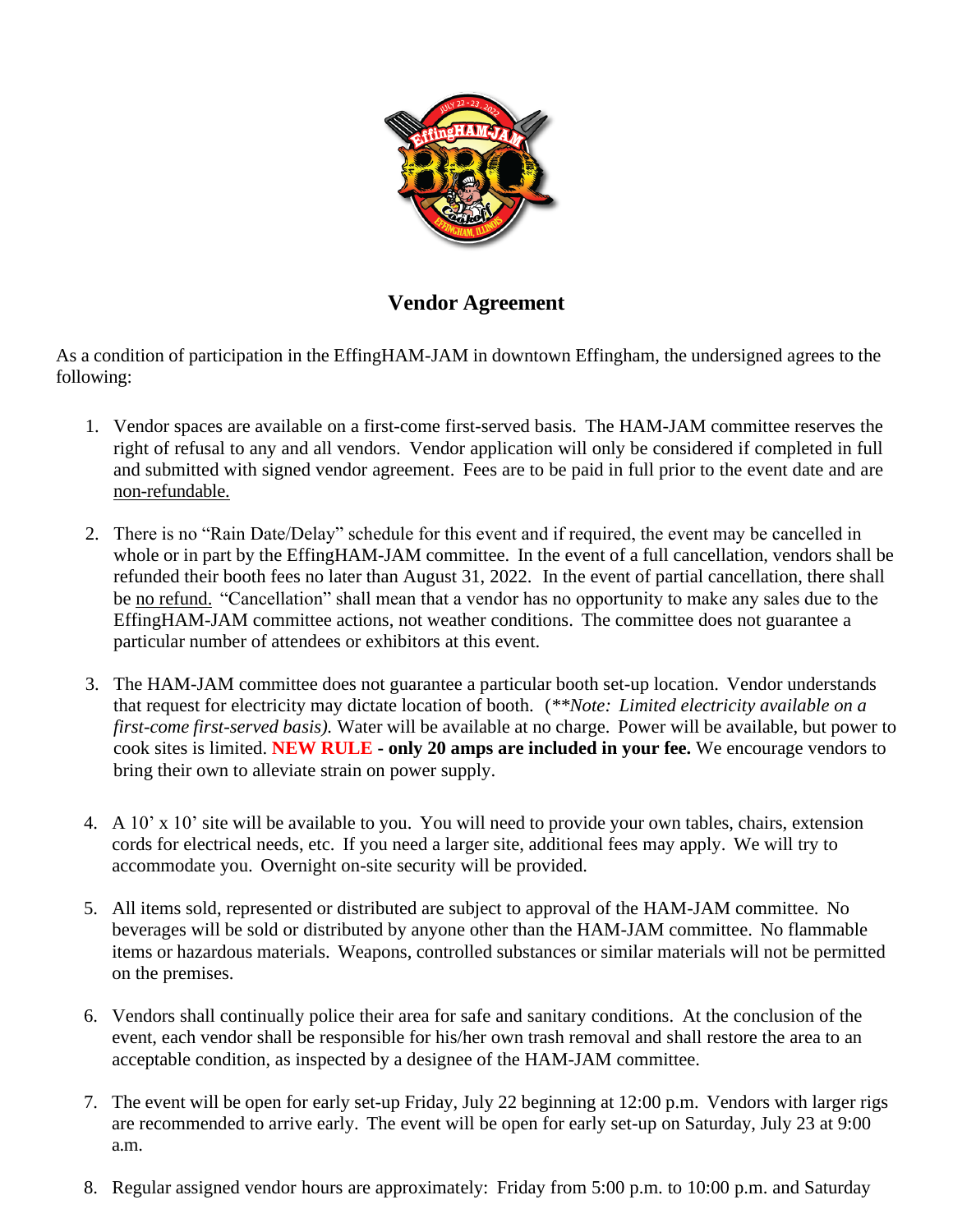

**Vendor Agreement**

As a condition of participation in the EffingHAM-JAM in downtown Effingham, the undersigned agrees to the following:

- 1. Vendor spaces are available on a first-come first-served basis. The HAM-JAM committee reserves the right of refusal to any and all vendors. Vendor application will only be considered if completed in full and submitted with signed vendor agreement. Fees are to be paid in full prior to the event date and are non-refundable.
- 2. There is no "Rain Date/Delay" schedule for this event and if required, the event may be cancelled in whole or in part by the EffingHAM-JAM committee. In the event of a full cancellation, vendors shall be refunded their booth fees no later than August 31, 2022. In the event of partial cancellation, there shall be no refund. "Cancellation" shall mean that a vendor has no opportunity to make any sales due to the EffingHAM-JAM committee actions, not weather conditions. The committee does not guarantee a particular number of attendees or exhibitors at this event.
- 3. The HAM-JAM committee does not guarantee a particular booth set-up location. Vendor understands that request for electricity may dictate location of booth. (*\*\*Note: Limited electricity available on a first-come first-served basis).* Water will be available at no charge. Power will be available, but power to cook sites is limited. **NEW RULE - only 20 amps are included in your fee.** We encourage vendors to bring their own to alleviate strain on power supply.
- 4. A 10' x 10' site will be available to you. You will need to provide your own tables, chairs, extension cords for electrical needs, etc. If you need a larger site, additional fees may apply. We will try to accommodate you. Overnight on-site security will be provided.
- 5. All items sold, represented or distributed are subject to approval of the HAM-JAM committee. No beverages will be sold or distributed by anyone other than the HAM-JAM committee. No flammable items or hazardous materials. Weapons, controlled substances or similar materials will not be permitted on the premises.
- 6. Vendors shall continually police their area for safe and sanitary conditions. At the conclusion of the event, each vendor shall be responsible for his/her own trash removal and shall restore the area to an acceptable condition, as inspected by a designee of the HAM-JAM committee.
- 7. The event will be open for early set-up Friday, July 22 beginning at 12:00 p.m. Vendors with larger rigs are recommended to arrive early. The event will be open for early set-up on Saturday, July 23 at 9:00 a.m.
- 8. Regular assigned vendor hours are approximately: Friday from 5:00 p.m. to 10:00 p.m. and Saturday